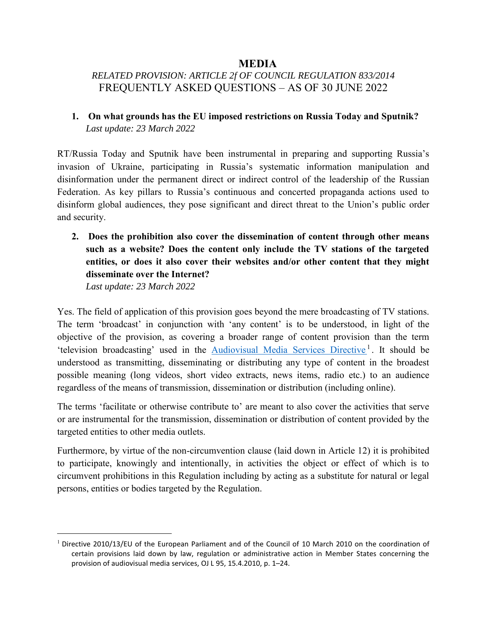#### **MEDIA**

# *RELATED PROVISION: ARTICLE 2f OF COUNCIL REGULATION 833/2014* FREQUENTLY ASKED QUESTIONS – AS OF 30 JUNE 2022

**1. On what grounds has the EU imposed restrictions on Russia Today and Sputnik?**  *Last update: 23 March 2022*

RT/Russia Today and Sputnik have been instrumental in preparing and supporting Russia's invasion of Ukraine, participating in Russia's systematic information manipulation and disinformation under the permanent direct or indirect control of the leadership of the Russian Federation. As key pillars to Russia's continuous and concerted propaganda actions used to disinform global audiences, they pose significant and direct threat to the Union's public order and security.

**2. Does the prohibition also cover the dissemination of content through other means such as a website? Does the content only include the TV stations of the targeted entities, or does it also cover their websites and/or other content that they might disseminate over the Internet?** 

*Last update: 23 March 2022*

 $\overline{a}$ 

Yes. The field of application of this provision goes beyond the mere broadcasting of TV stations. The term 'broadcast' in conjunction with 'any content' is to be understood, in light of the objective of the provision, as covering a broader range of content provision than the term 'television broadcasting' used in the **[Audiovisual Media Services Directive](https://eur-lex.europa.eu/legal-content/EN/TXT/?uri=CELEX:32010L0013)**<sup>1</sup>. It should be understood as transmitting, disseminating or distributing any type of content in the broadest possible meaning (long videos, short video extracts, news items, radio etc.) to an audience regardless of the means of transmission, dissemination or distribution (including online).

The terms 'facilitate or otherwise contribute to' are meant to also cover the activities that serve or are instrumental for the transmission, dissemination or distribution of content provided by the targeted entities to other media outlets.

Furthermore, by virtue of the non-circumvention clause (laid down in Article 12) it is prohibited to participate, knowingly and intentionally, in activities the object or effect of which is to circumvent prohibitions in this Regulation including by acting as a substitute for natural or legal persons, entities or bodies targeted by the Regulation.

<sup>&</sup>lt;sup>1</sup> [Directive 2010/13/EU of the European Parliament and of the Council of 10 March 2010 on the coordination of](https://eur-lex.europa.eu/legal-content/EN/TXT/?uri=CELEX:32010L0013) certain provisions laid down by law, regulation or [administrative action in Member States concerning the](https://eur-lex.europa.eu/legal-content/EN/TXT/?uri=CELEX:32010L0013) [provision of audiovisual media services, OJ L 95, 15.4.2010, p. 1](https://eur-lex.europa.eu/legal-content/EN/TXT/?uri=CELEX:32010L0013)–24.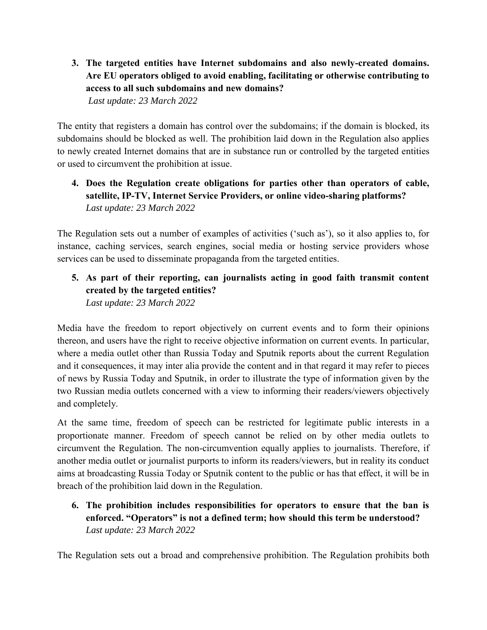**3. The targeted entities have Internet subdomains and also newly-created domains. Are EU operators obliged to avoid enabling, facilitating or otherwise contributing to access to all such subdomains and new domains?**

*Last update: 23 March 2022*

The entity that registers a domain has control over the subdomains; if the domain is blocked, its subdomains should be blocked as well. The prohibition laid down in the Regulation also applies to newly created Internet domains that are in substance run or controlled by the targeted entities or used to circumvent the prohibition at issue.

# **4. Does the Regulation create obligations for parties other than operators of cable, satellite, IP-TV, Internet Service Providers, or online video-sharing platforms?**  *Last update: 23 March 2022*

The Regulation sets out a number of examples of activities ('such as'), so it also applies to, for instance, caching services, search engines, social media or hosting service providers whose services can be used to disseminate propaganda from the targeted entities.

### **5. As part of their reporting, can journalists acting in good faith transmit content created by the targeted entities?**  *Last update: 23 March 2022*

Media have the freedom to report objectively on current events and to form their opinions thereon, and users have the right to receive objective information on current events. In particular, where a media outlet other than Russia Today and Sputnik reports about the current Regulation and it consequences, it may inter alia provide the content and in that regard it may refer to pieces of news by Russia Today and Sputnik, in order to illustrate the type of information given by the two Russian media outlets concerned with a view to informing their readers/viewers objectively and completely.

At the same time, freedom of speech can be restricted for legitimate public interests in a proportionate manner. Freedom of speech cannot be relied on by other media outlets to circumvent the Regulation. The non-circumvention equally applies to journalists. Therefore, if another media outlet or journalist purports to inform its readers/viewers, but in reality its conduct aims at broadcasting Russia Today or Sputnik content to the public or has that effect, it will be in breach of the prohibition laid down in the Regulation.

# **6. The prohibition includes responsibilities for operators to ensure that the ban is enforced. "Operators" is not a defined term; how should this term be understood?**  *Last update: 23 March 2022*

The Regulation sets out a broad and comprehensive prohibition. The Regulation prohibits both